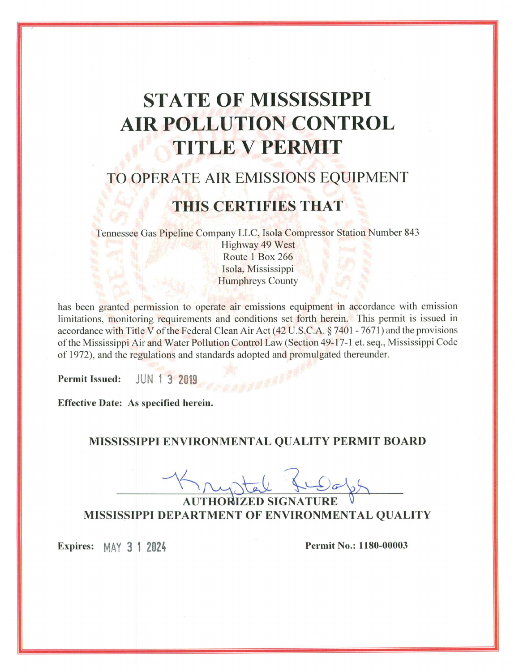# **STATE OF MISSISSIPPI AIR POLLUTION CONTROL TITLE V PERMIT**

## TO OPERATE AIR EMISSIONS EQUIPMENT

## THIS CERTIFIES THAT

Tennessee Gas Pipeline Company LLC, Isola Compressor Station Number 843

Highway 49 West Route 1 Box 266 Isola, Mississippi **Humphreys County** 

has been granted permission to operate air emissions equipment in accordance with emission limitations, monitoring requirements and conditions set forth herein. This permit is issued in accordance with Title V of the Federal Clean Air Act  $(42 U.S.C.A. \S 7401 - 7671)$  and the provisions of the Mississippi Air and Water Pollution Control Law (Section 49-17-1 et. seq., Mississippi Code of 1972), and the regulations and standards adopted and promulgated thereunder.

JUN 1 3 2019 **Permit Issued:** 

Effective Date: As specified herein.

## MISSISSIPPI ENVIRONMENTAL QUALITY PERMIT BOARD

**AUTHORIZED SIGNATURE** MISSISSIPPI DEPARTMENT OF ENVIRONMENTAL QUALITY

Expires: MAY 3 1 2024

**Permit No.: 1180-00003**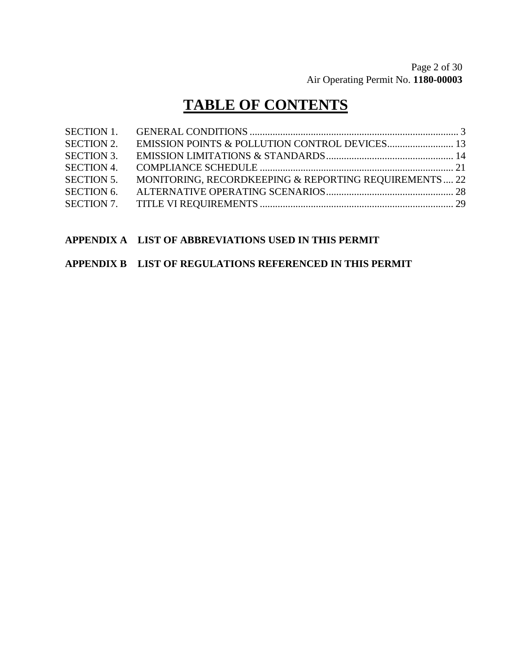## **TABLE OF CONTENTS**

| <b>SECTION 1.</b> |                                                       |  |
|-------------------|-------------------------------------------------------|--|
| <b>SECTION 2.</b> |                                                       |  |
| <b>SECTION 3.</b> |                                                       |  |
| <b>SECTION 4.</b> |                                                       |  |
| <b>SECTION 5.</b> | MONITORING, RECORDKEEPING & REPORTING REQUIREMENTS 22 |  |
| <b>SECTION 6.</b> |                                                       |  |
|                   |                                                       |  |

## **APPENDIX A LIST OF ABBREVIATIONS USED IN THIS PERMIT**

### **APPENDIX B LIST OF REGULATIONS REFERENCED IN THIS PERMIT**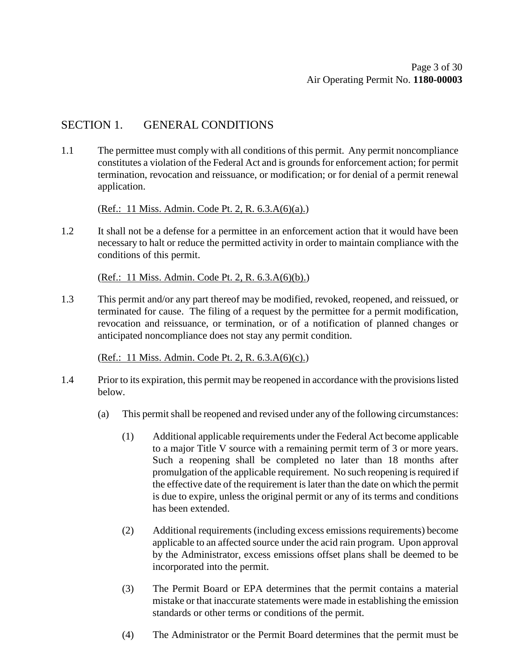## SECTION 1. GENERAL CONDITIONS

1.1 The permittee must comply with all conditions of this permit. Any permit noncompliance constitutes a violation of the Federal Act and is grounds for enforcement action; for permit termination, revocation and reissuance, or modification; or for denial of a permit renewal application.

(Ref.: 11 Miss. Admin. Code Pt. 2, R. 6.3.A(6)(a).)

1.2 It shall not be a defense for a permittee in an enforcement action that it would have been necessary to halt or reduce the permitted activity in order to maintain compliance with the conditions of this permit.

(Ref.: 11 Miss. Admin. Code Pt. 2, R. 6.3.A(6)(b).)

1.3 This permit and/or any part thereof may be modified, revoked, reopened, and reissued, or terminated for cause. The filing of a request by the permittee for a permit modification, revocation and reissuance, or termination, or of a notification of planned changes or anticipated noncompliance does not stay any permit condition.

(Ref.: 11 Miss. Admin. Code Pt. 2, R. 6.3.A(6)(c).)

- 1.4 Prior to its expiration, this permit may be reopened in accordance with the provisions listed below.
	- (a) This permit shall be reopened and revised under any of the following circumstances:
		- (1) Additional applicable requirements under the Federal Act become applicable to a major Title V source with a remaining permit term of 3 or more years. Such a reopening shall be completed no later than 18 months after promulgation of the applicable requirement. No such reopening is required if the effective date of the requirement is later than the date on which the permit is due to expire, unless the original permit or any of its terms and conditions has been extended.
		- (2) Additional requirements (including excess emissions requirements) become applicable to an affected source under the acid rain program. Upon approval by the Administrator, excess emissions offset plans shall be deemed to be incorporated into the permit.
		- (3) The Permit Board or EPA determines that the permit contains a material mistake or that inaccurate statements were made in establishing the emission standards or other terms or conditions of the permit.
		- (4) The Administrator or the Permit Board determines that the permit must be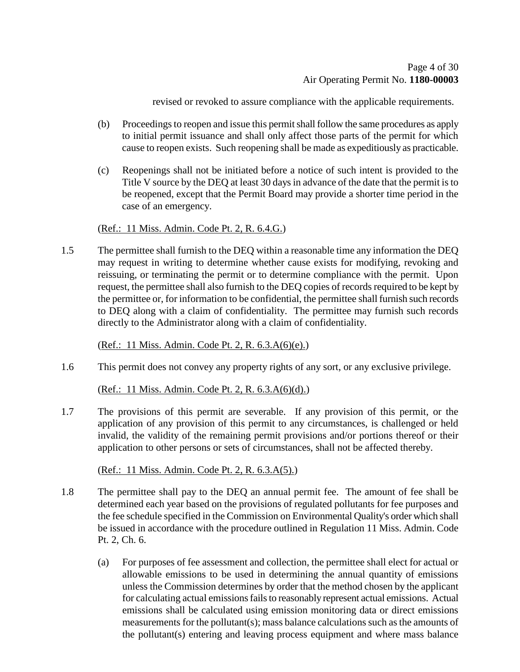revised or revoked to assure compliance with the applicable requirements.

- (b) Proceedings to reopen and issue this permit shall follow the same procedures as apply to initial permit issuance and shall only affect those parts of the permit for which cause to reopen exists. Such reopening shall be made as expeditiously as practicable.
- (c) Reopenings shall not be initiated before a notice of such intent is provided to the Title V source by the DEQ at least 30 days in advance of the date that the permit is to be reopened, except that the Permit Board may provide a shorter time period in the case of an emergency.

### (Ref.: 11 Miss. Admin. Code Pt. 2, R. 6.4.G.)

1.5 The permittee shall furnish to the DEQ within a reasonable time any information the DEQ may request in writing to determine whether cause exists for modifying, revoking and reissuing, or terminating the permit or to determine compliance with the permit. Upon request, the permittee shall also furnish to the DEQ copies of records required to be kept by the permittee or, for information to be confidential, the permittee shall furnish such records to DEQ along with a claim of confidentiality. The permittee may furnish such records directly to the Administrator along with a claim of confidentiality.

(Ref.: 11 Miss. Admin. Code Pt. 2, R. 6.3.A(6)(e).)

1.6 This permit does not convey any property rights of any sort, or any exclusive privilege.

(Ref.: 11 Miss. Admin. Code Pt. 2, R. 6.3.A(6)(d).)

1.7 The provisions of this permit are severable. If any provision of this permit, or the application of any provision of this permit to any circumstances, is challenged or held invalid, the validity of the remaining permit provisions and/or portions thereof or their application to other persons or sets of circumstances, shall not be affected thereby.

(Ref.: 11 Miss. Admin. Code Pt. 2, R. 6.3.A(5).)

- 1.8 The permittee shall pay to the DEQ an annual permit fee. The amount of fee shall be determined each year based on the provisions of regulated pollutants for fee purposes and the fee schedule specified in the Commission on Environmental Quality's order which shall be issued in accordance with the procedure outlined in Regulation 11 Miss. Admin. Code Pt. 2, Ch. 6.
	- (a) For purposes of fee assessment and collection, the permittee shall elect for actual or allowable emissions to be used in determining the annual quantity of emissions unless the Commission determines by order that the method chosen by the applicant for calculating actual emissions fails to reasonably represent actual emissions. Actual emissions shall be calculated using emission monitoring data or direct emissions measurements for the pollutant(s); mass balance calculations such as the amounts of the pollutant(s) entering and leaving process equipment and where mass balance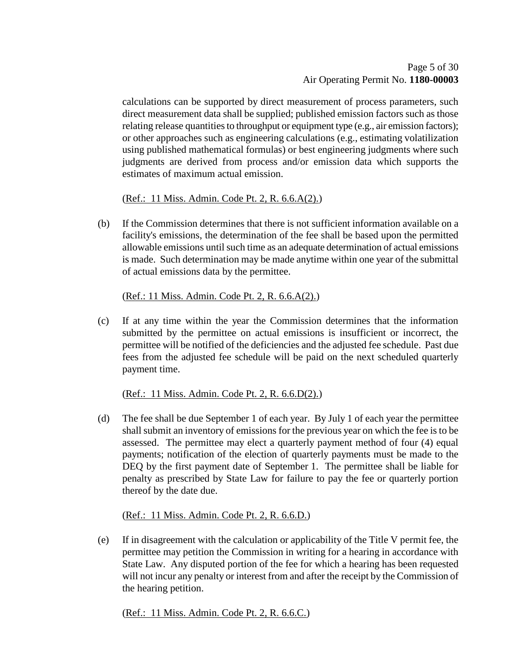calculations can be supported by direct measurement of process parameters, such direct measurement data shall be supplied; published emission factors such as those relating release quantities to throughput or equipment type (e.g., air emission factors); or other approaches such as engineering calculations (e.g., estimating volatilization using published mathematical formulas) or best engineering judgments where such judgments are derived from process and/or emission data which supports the estimates of maximum actual emission.

(Ref.: 11 Miss. Admin. Code Pt. 2, R. 6.6.A(2).)

(b) If the Commission determines that there is not sufficient information available on a facility's emissions, the determination of the fee shall be based upon the permitted allowable emissions until such time as an adequate determination of actual emissions is made. Such determination may be made anytime within one year of the submittal of actual emissions data by the permittee.

(Ref.: 11 Miss. Admin. Code Pt. 2, R. 6.6.A(2).)

(c) If at any time within the year the Commission determines that the information submitted by the permittee on actual emissions is insufficient or incorrect, the permittee will be notified of the deficiencies and the adjusted fee schedule. Past due fees from the adjusted fee schedule will be paid on the next scheduled quarterly payment time.

(Ref.: 11 Miss. Admin. Code Pt. 2, R. 6.6.D(2).)

(d) The fee shall be due September 1 of each year. By July 1 of each year the permittee shall submit an inventory of emissions for the previous year on which the fee is to be assessed. The permittee may elect a quarterly payment method of four (4) equal payments; notification of the election of quarterly payments must be made to the DEQ by the first payment date of September 1. The permittee shall be liable for penalty as prescribed by State Law for failure to pay the fee or quarterly portion thereof by the date due.

(Ref.: 11 Miss. Admin. Code Pt. 2, R. 6.6.D.)

(e) If in disagreement with the calculation or applicability of the Title V permit fee, the permittee may petition the Commission in writing for a hearing in accordance with State Law. Any disputed portion of the fee for which a hearing has been requested will not incur any penalty or interest from and after the receipt by the Commission of the hearing petition.

(Ref.: 11 Miss. Admin. Code Pt. 2, R. 6.6.C.)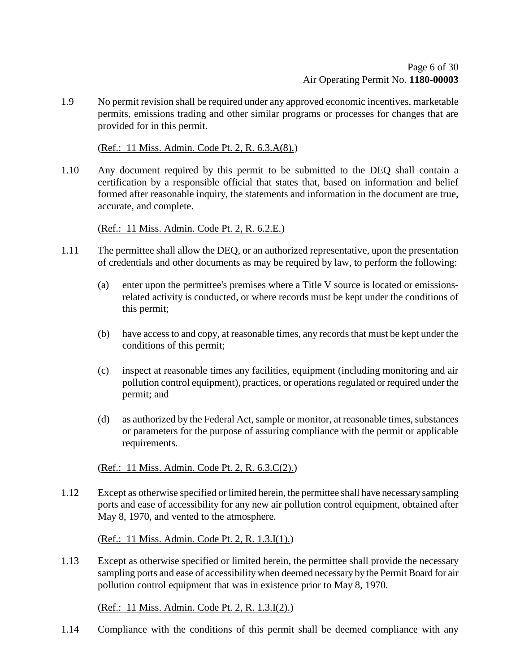1.9 No permit revision shall be required under any approved economic incentives, marketable permits, emissions trading and other similar programs or processes for changes that are provided for in this permit.

(Ref.: 11 Miss. Admin. Code Pt. 2, R. 6.3.A(8).)

1.10 Any document required by this permit to be submitted to the DEQ shall contain a certification by a responsible official that states that, based on information and belief formed after reasonable inquiry, the statements and information in the document are true, accurate, and complete.

(Ref.: 11 Miss. Admin. Code Pt. 2, R. 6.2.E.)

- 1.11 The permittee shall allow the DEQ, or an authorized representative, upon the presentation of credentials and other documents as may be required by law, to perform the following:
	- (a) enter upon the permittee's premises where a Title V source is located or emissionsrelated activity is conducted, or where records must be kept under the conditions of this permit;
	- (b) have access to and copy, at reasonable times, any records that must be kept under the conditions of this permit;
	- (c) inspect at reasonable times any facilities, equipment (including monitoring and air pollution control equipment), practices, or operations regulated or required under the permit; and
	- (d) as authorized by the Federal Act, sample or monitor, at reasonable times, substances or parameters for the purpose of assuring compliance with the permit or applicable requirements.

(Ref.: 11 Miss. Admin. Code Pt. 2, R. 6.3.C(2).)

1.12 Except as otherwise specified or limited herein, the permittee shall have necessary sampling ports and ease of accessibility for any new air pollution control equipment, obtained after May 8, 1970, and vented to the atmosphere.

(Ref.: 11 Miss. Admin. Code Pt. 2, R. 1.3.I(1).)

1.13 Except as otherwise specified or limited herein, the permittee shall provide the necessary sampling ports and ease of accessibility when deemed necessary by the Permit Board for air pollution control equipment that was in existence prior to May 8, 1970.

(Ref.: 11 Miss. Admin. Code Pt. 2, R. 1.3.I(2).)

1.14 Compliance with the conditions of this permit shall be deemed compliance with any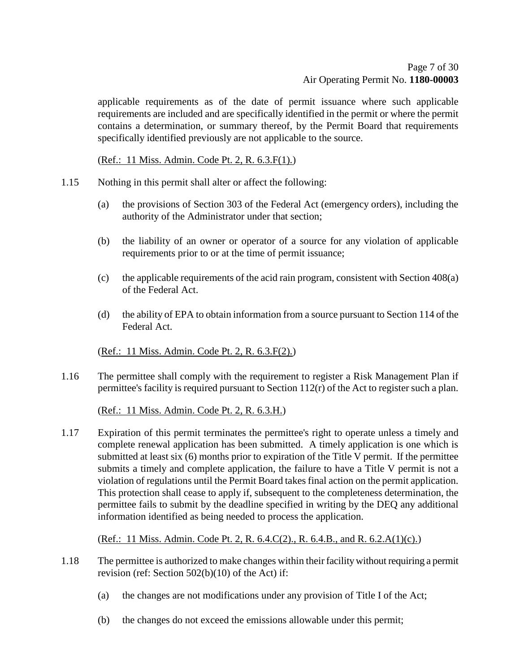applicable requirements as of the date of permit issuance where such applicable requirements are included and are specifically identified in the permit or where the permit contains a determination, or summary thereof, by the Permit Board that requirements specifically identified previously are not applicable to the source.

(Ref.: 11 Miss. Admin. Code Pt. 2, R. 6.3.F(1).)

- 1.15 Nothing in this permit shall alter or affect the following:
	- (a) the provisions of Section 303 of the Federal Act (emergency orders), including the authority of the Administrator under that section;
	- (b) the liability of an owner or operator of a source for any violation of applicable requirements prior to or at the time of permit issuance;
	- (c) the applicable requirements of the acid rain program, consistent with Section 408(a) of the Federal Act.
	- (d) the ability of EPA to obtain information from a source pursuant to Section 114 of the Federal Act.

(Ref.: 11 Miss. Admin. Code Pt. 2, R. 6.3.F(2).)

1.16 The permittee shall comply with the requirement to register a Risk Management Plan if permittee's facility is required pursuant to Section 112(r) of the Act to register such a plan.

(Ref.: 11 Miss. Admin. Code Pt. 2, R. 6.3.H.)

1.17 Expiration of this permit terminates the permittee's right to operate unless a timely and complete renewal application has been submitted. A timely application is one which is submitted at least six (6) months prior to expiration of the Title V permit. If the permittee submits a timely and complete application, the failure to have a Title V permit is not a violation of regulations until the Permit Board takes final action on the permit application. This protection shall cease to apply if, subsequent to the completeness determination, the permittee fails to submit by the deadline specified in writing by the DEQ any additional information identified as being needed to process the application.

(Ref.: 11 Miss. Admin. Code Pt. 2, R. 6.4.C(2)., R. 6.4.B., and R. 6.2.A(1)(c).)

- 1.18 The permittee is authorized to make changes within their facility without requiring a permit revision (ref: Section 502(b)(10) of the Act) if:
	- (a) the changes are not modifications under any provision of Title I of the Act;
	- (b) the changes do not exceed the emissions allowable under this permit;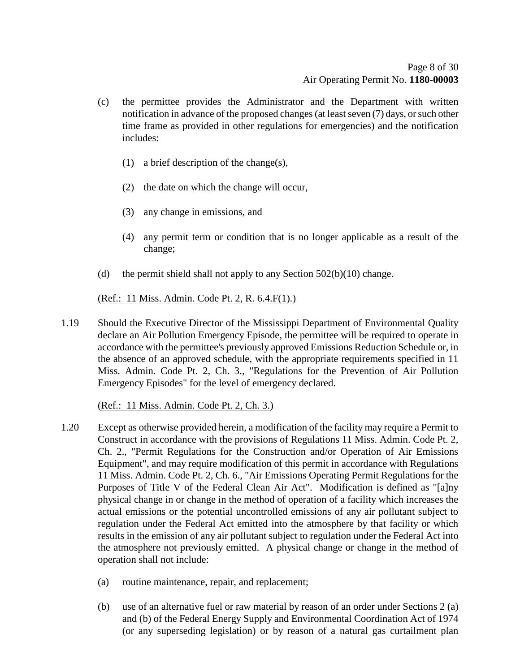- (c) the permittee provides the Administrator and the Department with written notification in advance of the proposed changes (at least seven (7) days, or such other time frame as provided in other regulations for emergencies) and the notification includes:
	- (1) a brief description of the change(s),
	- (2) the date on which the change will occur,
	- (3) any change in emissions, and
	- (4) any permit term or condition that is no longer applicable as a result of the change;
- (d) the permit shield shall not apply to any Section  $502(b)(10)$  change.

## (Ref.: 11 Miss. Admin. Code Pt. 2, R. 6.4.F(1).)

1.19 Should the Executive Director of the Mississippi Department of Environmental Quality declare an Air Pollution Emergency Episode, the permittee will be required to operate in accordance with the permittee's previously approved Emissions Reduction Schedule or, in the absence of an approved schedule, with the appropriate requirements specified in 11 Miss. Admin. Code Pt. 2, Ch. 3., "Regulations for the Prevention of Air Pollution Emergency Episodes" for the level of emergency declared.

(Ref.: 11 Miss. Admin. Code Pt. 2, Ch. 3.)

- 1.20 Except as otherwise provided herein, a modification of the facility may require a Permit to Construct in accordance with the provisions of Regulations 11 Miss. Admin. Code Pt. 2, Ch. 2., "Permit Regulations for the Construction and/or Operation of Air Emissions Equipment", and may require modification of this permit in accordance with Regulations 11 Miss. Admin. Code Pt. 2, Ch. 6., "Air Emissions Operating Permit Regulations for the Purposes of Title V of the Federal Clean Air Act". Modification is defined as "[a]ny physical change in or change in the method of operation of a facility which increases the actual emissions or the potential uncontrolled emissions of any air pollutant subject to regulation under the Federal Act emitted into the atmosphere by that facility or which results in the emission of any air pollutant subject to regulation under the Federal Act into the atmosphere not previously emitted. A physical change or change in the method of operation shall not include:
	- (a) routine maintenance, repair, and replacement;
	- (b) use of an alternative fuel or raw material by reason of an order under Sections 2 (a) and (b) of the Federal Energy Supply and Environmental Coordination Act of 1974 (or any superseding legislation) or by reason of a natural gas curtailment plan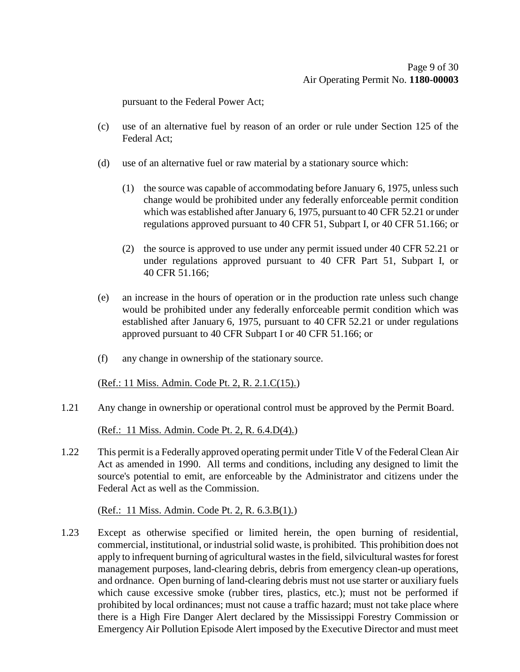pursuant to the Federal Power Act;

- (c) use of an alternative fuel by reason of an order or rule under Section 125 of the Federal Act;
- (d) use of an alternative fuel or raw material by a stationary source which:
	- (1) the source was capable of accommodating before January 6, 1975, unless such change would be prohibited under any federally enforceable permit condition which was established after January 6, 1975, pursuant to 40 CFR 52.21 or under regulations approved pursuant to 40 CFR 51, Subpart I, or 40 CFR 51.166; or
	- (2) the source is approved to use under any permit issued under 40 CFR 52.21 or under regulations approved pursuant to 40 CFR Part 51, Subpart I, or 40 CFR 51.166;
- (e) an increase in the hours of operation or in the production rate unless such change would be prohibited under any federally enforceable permit condition which was established after January 6, 1975, pursuant to 40 CFR 52.21 or under regulations approved pursuant to 40 CFR Subpart I or 40 CFR 51.166; or
- (f) any change in ownership of the stationary source.

### (Ref.: 11 Miss. Admin. Code Pt. 2, R. 2.1.C(15).)

1.21 Any change in ownership or operational control must be approved by the Permit Board.

(Ref.: 11 Miss. Admin. Code Pt. 2, R. 6.4.D(4).)

1.22 This permit is a Federally approved operating permit under Title V of the Federal Clean Air Act as amended in 1990. All terms and conditions, including any designed to limit the source's potential to emit, are enforceable by the Administrator and citizens under the Federal Act as well as the Commission.

### (Ref.: 11 Miss. Admin. Code Pt. 2, R. 6.3.B(1).)

1.23 Except as otherwise specified or limited herein, the open burning of residential, commercial, institutional, or industrial solid waste, is prohibited. This prohibition does not apply to infrequent burning of agricultural wastes in the field, silvicultural wastes for forest management purposes, land-clearing debris, debris from emergency clean-up operations, and ordnance. Open burning of land-clearing debris must not use starter or auxiliary fuels which cause excessive smoke (rubber tires, plastics, etc.); must not be performed if prohibited by local ordinances; must not cause a traffic hazard; must not take place where there is a High Fire Danger Alert declared by the Mississippi Forestry Commission or Emergency Air Pollution Episode Alert imposed by the Executive Director and must meet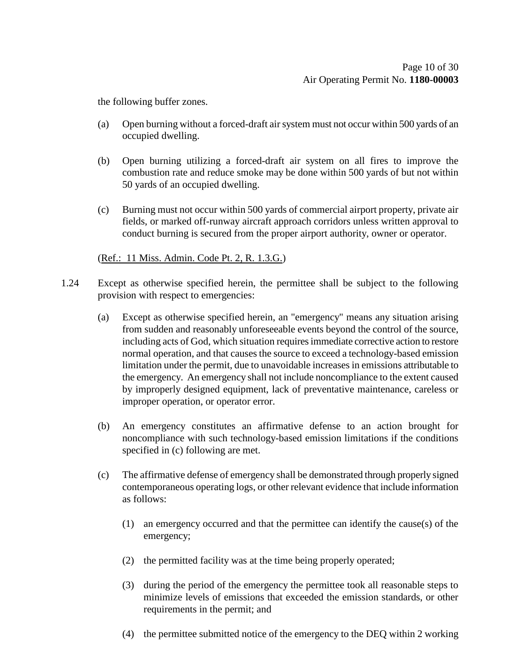the following buffer zones.

- (a) Open burning without a forced-draft air system must not occur within 500 yards of an occupied dwelling.
- (b) Open burning utilizing a forced-draft air system on all fires to improve the combustion rate and reduce smoke may be done within 500 yards of but not within 50 yards of an occupied dwelling.
- (c) Burning must not occur within 500 yards of commercial airport property, private air fields, or marked off-runway aircraft approach corridors unless written approval to conduct burning is secured from the proper airport authority, owner or operator.

### (Ref.: 11 Miss. Admin. Code Pt. 2, R. 1.3.G.)

- 1.24 Except as otherwise specified herein, the permittee shall be subject to the following provision with respect to emergencies:
	- (a) Except as otherwise specified herein, an "emergency" means any situation arising from sudden and reasonably unforeseeable events beyond the control of the source, including acts of God, which situation requires immediate corrective action to restore normal operation, and that causes the source to exceed a technology-based emission limitation under the permit, due to unavoidable increases in emissions attributable to the emergency. An emergency shall not include noncompliance to the extent caused by improperly designed equipment, lack of preventative maintenance, careless or improper operation, or operator error.
	- (b) An emergency constitutes an affirmative defense to an action brought for noncompliance with such technology-based emission limitations if the conditions specified in (c) following are met.
	- (c) The affirmative defense of emergency shall be demonstrated through properly signed contemporaneous operating logs, or other relevant evidence that include information as follows:
		- (1) an emergency occurred and that the permittee can identify the cause(s) of the emergency;
		- (2) the permitted facility was at the time being properly operated;
		- (3) during the period of the emergency the permittee took all reasonable steps to minimize levels of emissions that exceeded the emission standards, or other requirements in the permit; and
		- (4) the permittee submitted notice of the emergency to the DEQ within 2 working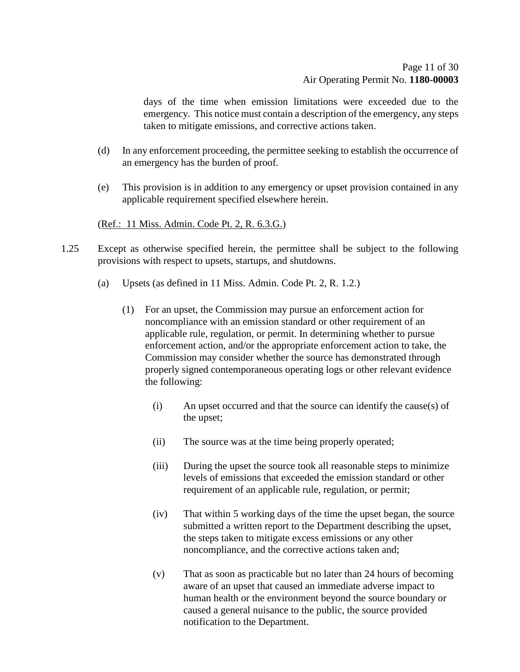days of the time when emission limitations were exceeded due to the emergency. This notice must contain a description of the emergency, any steps taken to mitigate emissions, and corrective actions taken.

- (d) In any enforcement proceeding, the permittee seeking to establish the occurrence of an emergency has the burden of proof.
- (e) This provision is in addition to any emergency or upset provision contained in any applicable requirement specified elsewhere herein.

#### (Ref.: 11 Miss. Admin. Code Pt. 2, R. 6.3.G.)

- 1.25 Except as otherwise specified herein, the permittee shall be subject to the following provisions with respect to upsets, startups, and shutdowns.
	- (a) Upsets (as defined in 11 Miss. Admin. Code Pt. 2, R. 1.2.)
		- (1) For an upset, the Commission may pursue an enforcement action for noncompliance with an emission standard or other requirement of an applicable rule, regulation, or permit. In determining whether to pursue enforcement action, and/or the appropriate enforcement action to take, the Commission may consider whether the source has demonstrated through properly signed contemporaneous operating logs or other relevant evidence the following:
			- (i) An upset occurred and that the source can identify the cause(s) of the upset;
			- (ii) The source was at the time being properly operated;
			- (iii) During the upset the source took all reasonable steps to minimize levels of emissions that exceeded the emission standard or other requirement of an applicable rule, regulation, or permit;
			- (iv) That within 5 working days of the time the upset began, the source submitted a written report to the Department describing the upset, the steps taken to mitigate excess emissions or any other noncompliance, and the corrective actions taken and;
			- (v) That as soon as practicable but no later than 24 hours of becoming aware of an upset that caused an immediate adverse impact to human health or the environment beyond the source boundary or caused a general nuisance to the public, the source provided notification to the Department.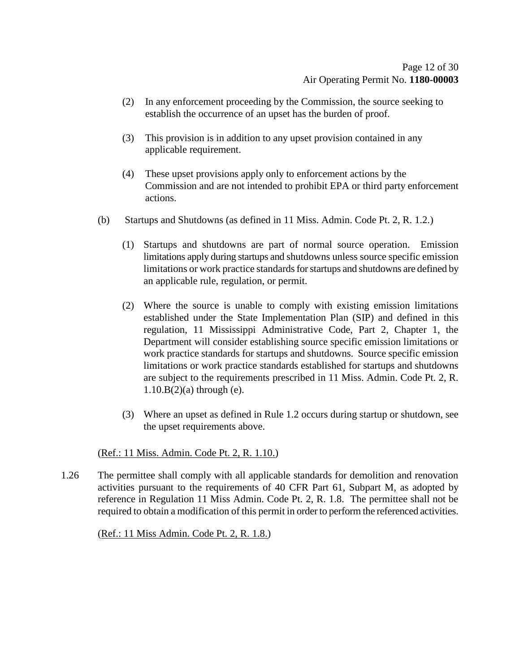- (2) In any enforcement proceeding by the Commission, the source seeking to establish the occurrence of an upset has the burden of proof.
- (3) This provision is in addition to any upset provision contained in any applicable requirement.
- (4) These upset provisions apply only to enforcement actions by the Commission and are not intended to prohibit EPA or third party enforcement actions.
- (b) Startups and Shutdowns (as defined in 11 Miss. Admin. Code Pt. 2, R. 1.2.)
	- (1) Startups and shutdowns are part of normal source operation. Emission limitations apply during startups and shutdowns unless source specific emission limitations or work practice standards for startups and shutdowns are defined by an applicable rule, regulation, or permit.
	- (2) Where the source is unable to comply with existing emission limitations established under the State Implementation Plan (SIP) and defined in this regulation, 11 Mississippi Administrative Code, Part 2, Chapter 1, the Department will consider establishing source specific emission limitations or work practice standards for startups and shutdowns. Source specific emission limitations or work practice standards established for startups and shutdowns are subject to the requirements prescribed in 11 Miss. Admin. Code Pt. 2, R.  $1.10.B(2)(a)$  through (e).
	- (3) Where an upset as defined in Rule 1.2 occurs during startup or shutdown, see the upset requirements above.

#### (Ref.: 11 Miss. Admin. Code Pt. 2, R. 1.10.)

1.26 The permittee shall comply with all applicable standards for demolition and renovation activities pursuant to the requirements of 40 CFR Part 61, Subpart M, as adopted by reference in Regulation 11 Miss Admin. Code Pt. 2, R. 1.8. The permittee shall not be required to obtain a modification of this permit in order to perform the referenced activities.

(Ref.: 11 Miss Admin. Code Pt. 2, R. 1.8.)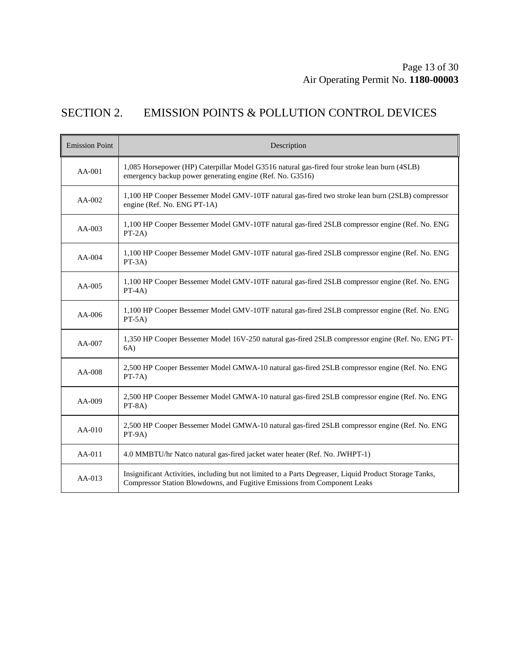## SECTION 2. EMISSION POINTS & POLLUTION CONTROL DEVICES

| <b>Emission Point</b> | Description                                                                                                                                                                          |
|-----------------------|--------------------------------------------------------------------------------------------------------------------------------------------------------------------------------------|
| $AA-001$              | 1,085 Horsepower (HP) Caterpillar Model G3516 natural gas-fired four stroke lean burn (4SLB)<br>emergency backup power generating engine (Ref. No. G3516)                            |
| $AA-002$              | 1,100 HP Cooper Bessemer Model GMV-10TF natural gas-fired two stroke lean burn (2SLB) compressor<br>engine (Ref. No. ENG PT-1A)                                                      |
| $AA-003$              | 1,100 HP Cooper Bessemer Model GMV-10TF natural gas-fired 2SLB compressor engine (Ref. No. ENG<br>$PT-2A)$                                                                           |
| $AA-004$              | 1,100 HP Cooper Bessemer Model GMV-10TF natural gas-fired 2SLB compressor engine (Ref. No. ENG<br>$PT-3A)$                                                                           |
| $AA-005$              | 1,100 HP Cooper Bessemer Model GMV-10TF natural gas-fired 2SLB compressor engine (Ref. No. ENG<br>$PT-4A)$                                                                           |
| $AA-006$              | 1,100 HP Cooper Bessemer Model GMV-10TF natural gas-fired 2SLB compressor engine (Ref. No. ENG<br>$PT-5A)$                                                                           |
| AA-007                | 1,350 HP Cooper Bessemer Model 16V-250 natural gas-fired 2SLB compressor engine (Ref. No. ENG PT-<br>6A)                                                                             |
| AA-008                | 2,500 HP Cooper Bessemer Model GMWA-10 natural gas-fired 2SLB compressor engine (Ref. No. ENG<br>$PT-7A)$                                                                            |
| $AA-009$              | 2,500 HP Cooper Bessemer Model GMWA-10 natural gas-fired 2SLB compressor engine (Ref. No. ENG<br>$PT-8A)$                                                                            |
| $AA-010$              | 2,500 HP Cooper Bessemer Model GMWA-10 natural gas-fired 2SLB compressor engine (Ref. No. ENG<br>$PT-9A)$                                                                            |
| $AA-011$              | 4.0 MMBTU/hr Natco natural gas-fired jacket water heater (Ref. No. JWHPT-1)                                                                                                          |
| $AA-013$              | Insignificant Activities, including but not limited to a Parts Degreaser, Liquid Product Storage Tanks,<br>Compressor Station Blowdowns, and Fugitive Emissions from Component Leaks |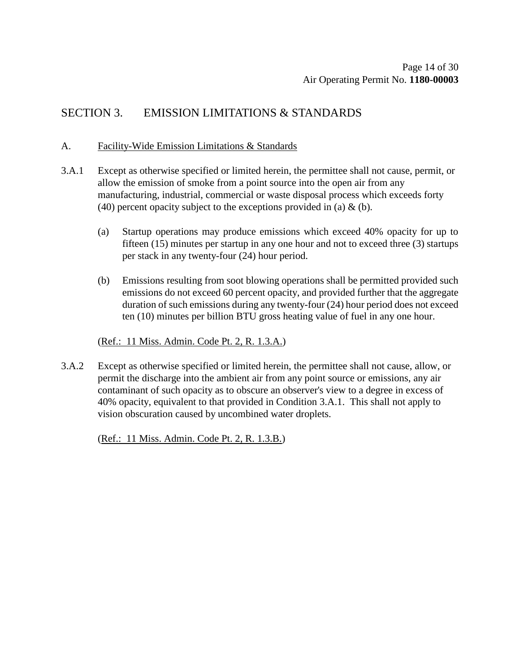## SECTION 3. EMISSION LIMITATIONS & STANDARDS

#### A. Facility-Wide Emission Limitations & Standards

- 3.A.1 Except as otherwise specified or limited herein, the permittee shall not cause, permit, or allow the emission of smoke from a point source into the open air from any manufacturing, industrial, commercial or waste disposal process which exceeds forty (40) percent opacity subject to the exceptions provided in (a)  $\&$  (b).
	- (a) Startup operations may produce emissions which exceed 40% opacity for up to fifteen (15) minutes per startup in any one hour and not to exceed three (3) startups per stack in any twenty-four (24) hour period.
	- (b) Emissions resulting from soot blowing operations shall be permitted provided such emissions do not exceed 60 percent opacity, and provided further that the aggregate duration of such emissions during any twenty-four (24) hour period does not exceed ten (10) minutes per billion BTU gross heating value of fuel in any one hour.

#### (Ref.: 11 Miss. Admin. Code Pt. 2, R. 1.3.A.)

3.A.2 Except as otherwise specified or limited herein, the permittee shall not cause, allow, or permit the discharge into the ambient air from any point source or emissions, any air contaminant of such opacity as to obscure an observer's view to a degree in excess of 40% opacity, equivalent to that provided in Condition 3.A.1. This shall not apply to vision obscuration caused by uncombined water droplets.

(Ref.: 11 Miss. Admin. Code Pt. 2, R. 1.3.B.)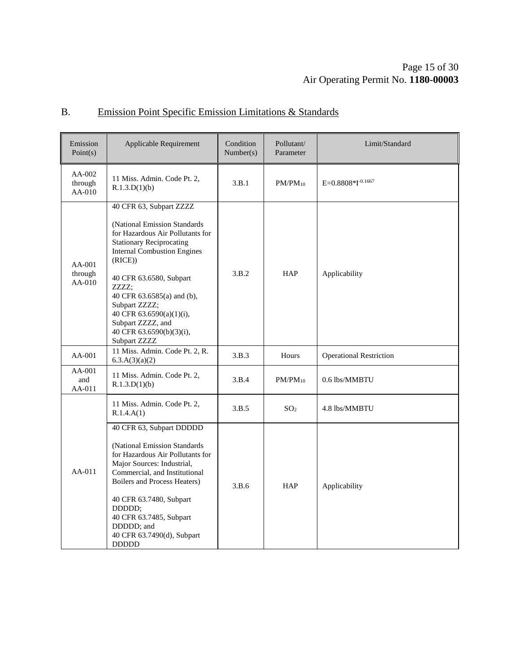### Page 15 of [30](#page-29-0) Air Operating Permit No. **1180-00003**

## B. Emission Point Specific Emission Limitations & Standards

| Emission<br>Point(s)        | Applicable Requirement                                                                                                                                                                                                                                                                                                                                         | Condition<br>Number(s) | Pollutant/<br>Parameter | Limit/Standard                 |
|-----------------------------|----------------------------------------------------------------------------------------------------------------------------------------------------------------------------------------------------------------------------------------------------------------------------------------------------------------------------------------------------------------|------------------------|-------------------------|--------------------------------|
| AA-002<br>through<br>AA-010 | 11 Miss. Admin. Code Pt. 2,<br>R.1.3.D(1)(b)                                                                                                                                                                                                                                                                                                                   | 3.B.1                  | $PM/PM_{10}$            | $E=0.8808*I^{-0.1667}$         |
| AA-001<br>through<br>AA-010 | 40 CFR 63, Subpart ZZZZ<br>(National Emission Standards<br>for Hazardous Air Pollutants for<br><b>Stationary Reciprocating</b><br><b>Internal Combustion Engines</b><br>(RICE)<br>40 CFR 63.6580, Subpart<br>ZZZZ;<br>40 CFR 63.6585(a) and (b),<br>Subpart ZZZZ;<br>40 CFR 63.6590(a)(1)(i),<br>Subpart ZZZZ, and<br>40 CFR 63.6590(b)(3)(i),<br>Subpart ZZZZ | 3.B.2                  | <b>HAP</b>              | Applicability                  |
| $AA-001$                    | 11 Miss. Admin. Code Pt. 2, R.<br>6.3.A(3)(a)(2)                                                                                                                                                                                                                                                                                                               | 3.B.3                  | Hours                   | <b>Operational Restriction</b> |
| AA-001<br>and<br>AA-011     | 11 Miss. Admin. Code Pt. 2,<br>R.1.3.D(1)(b)                                                                                                                                                                                                                                                                                                                   | 3.B.4                  | $PM/PM_{10}$            | 0.6 lbs/MMBTU                  |
|                             | 11 Miss. Admin. Code Pt. 2,<br>R.1.4.A(1)                                                                                                                                                                                                                                                                                                                      | 3.B.5                  | SO <sub>2</sub>         | 4.8 lbs/MMBTU                  |
| $AA-011$                    | 40 CFR 63, Subpart DDDDD<br>(National Emission Standards<br>for Hazardous Air Pollutants for<br>Major Sources: Industrial,<br>Commercial, and Institutional<br>Boilers and Process Heaters)<br>40 CFR 63.7480, Subpart<br>DDDDD;<br>40 CFR 63.7485, Subpart<br>DDDDD; and<br>40 CFR 63.7490(d), Subpart<br><b>DDDDD</b>                                        | 3.B.6                  | <b>HAP</b>              | Applicability                  |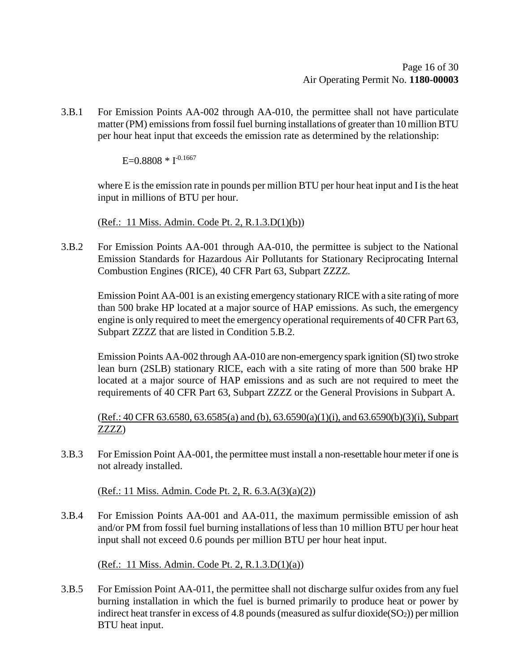3.B.1 For Emission Points AA-002 through AA-010, the permittee shall not have particulate matter (PM) emissions from fossil fuel burning installations of greater than 10 million BTU per hour heat input that exceeds the emission rate as determined by the relationship:

E=0.8808  $*$  I<sup>-0.1667</sup>

where E is the emission rate in pounds per million BTU per hour heat input and I is the heat input in millions of BTU per hour.

(Ref.: 11 Miss. Admin. Code Pt. 2, R.1.3.D(1)(b))

3.B.2 For Emission Points AA-001 through AA-010, the permittee is subject to the National Emission Standards for Hazardous Air Pollutants for Stationary Reciprocating Internal Combustion Engines (RICE), 40 CFR Part 63, Subpart ZZZZ.

Emission Point AA-001 is an existing emergency stationary RICE with a site rating of more than 500 brake HP located at a major source of HAP emissions. As such, the emergency engine is only required to meet the emergency operational requirements of 40 CFR Part 63, Subpart ZZZZ that are listed in Condition 5.B.2.

Emission Points AA-002 through AA-010 are non-emergency spark ignition (SI) two stroke lean burn (2SLB) stationary RICE, each with a site rating of more than 500 brake HP located at a major source of HAP emissions and as such are not required to meet the requirements of 40 CFR Part 63, Subpart ZZZZ or the General Provisions in Subpart A.

(Ref.: 40 CFR 63.6580, 63.6585(a) and (b), 63.6590(a)(1)(i), and 63.6590(b)(3)(i), Subpart ZZZZ)

3.B.3 For Emission Point AA-001, the permittee must install a non-resettable hour meter if one is not already installed.

(Ref.: 11 Miss. Admin. Code Pt. 2, R. 6.3.A(3)(a)(2))

3.B.4 For Emission Points AA-001 and AA-011, the maximum permissible emission of ash and/or PM from fossil fuel burning installations of less than 10 million BTU per hour heat input shall not exceed 0.6 pounds per million BTU per hour heat input.

(Ref.: 11 Miss. Admin. Code Pt. 2, R.1.3.D(1)(a))

3.B.5 For Emission Point AA-011, the permittee shall not discharge sulfur oxides from any fuel burning installation in which the fuel is burned primarily to produce heat or power by indirect heat transfer in excess of 4.8 pounds (measured as sulfur dioxide( $SO<sub>2</sub>$ )) per million BTU heat input.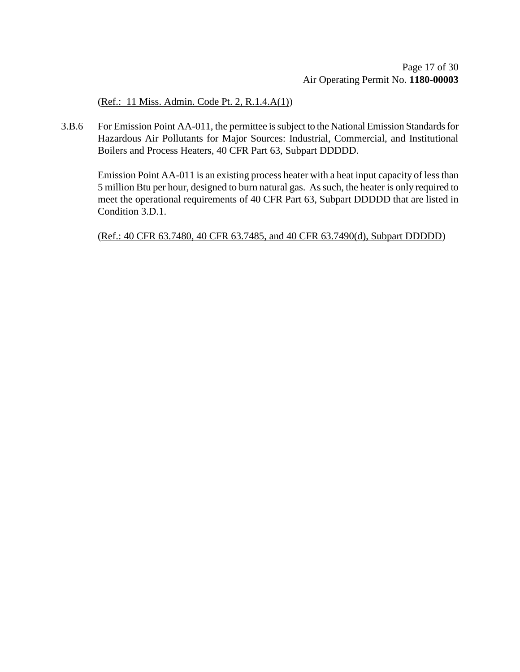(Ref.: 11 Miss. Admin. Code Pt. 2, R.1.4.A(1))

3.B.6 For Emission Point AA-011, the permittee is subject to the National Emission Standards for Hazardous Air Pollutants for Major Sources: Industrial, Commercial, and Institutional Boilers and Process Heaters, 40 CFR Part 63, Subpart DDDDD.

Emission Point AA-011 is an existing process heater with a heat input capacity of less than 5 million Btu per hour, designed to burn natural gas. As such, the heater is only required to meet the operational requirements of 40 CFR Part 63, Subpart DDDDD that are listed in Condition 3.D.1.

(Ref.: 40 CFR 63.7480, 40 CFR 63.7485, and 40 CFR 63.7490(d), Subpart DDDDD)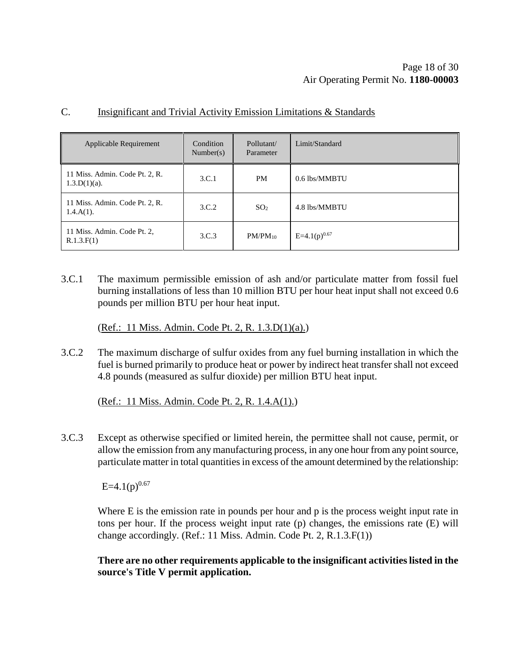| Applicable Requirement                            | Condition<br>Number(s) | Pollutant/<br>Parameter | Limit/Standard    |
|---------------------------------------------------|------------------------|-------------------------|-------------------|
| 11 Miss. Admin. Code Pt. 2, R.<br>$1.3.D(1)(a)$ . | 3.C.1                  | <b>PM</b>               | 0.6 lbs/MMBTU     |
| 11 Miss. Admin. Code Pt. 2, R.<br>$1.4.A(1)$ .    | 3.C.2                  | SO <sub>2</sub>         | 4.8 lbs/MMBTU     |
| 11 Miss. Admin. Code Pt. 2,<br>R.1.3.F(1)         | 3.C.3                  | $PM/PM_{10}$            | $E=4.1(p)^{0.67}$ |

#### C. Insignificant and Trivial Activity Emission Limitations & Standards

3.C.1 The maximum permissible emission of ash and/or particulate matter from fossil fuel burning installations of less than 10 million BTU per hour heat input shall not exceed 0.6 pounds per million BTU per hour heat input.

(Ref.: 11 Miss. Admin. Code Pt. 2, R. 1.3.D(1)(a).)

3.C.2 The maximum discharge of sulfur oxides from any fuel burning installation in which the fuel is burned primarily to produce heat or power by indirect heat transfer shall not exceed 4.8 pounds (measured as sulfur dioxide) per million BTU heat input.

(Ref.: 11 Miss. Admin. Code Pt. 2, R. 1.4.A(1).)

3.C.3 Except as otherwise specified or limited herein, the permittee shall not cause, permit, or allow the emission from any manufacturing process, in any one hour from any point source, particulate matter in total quantities in excess of the amount determined by the relationship:

 $E=4.1(p)^{0.67}$ 

Where E is the emission rate in pounds per hour and p is the process weight input rate in tons per hour. If the process weight input rate (p) changes, the emissions rate (E) will change accordingly. (Ref.: 11 Miss. Admin. Code Pt. 2, R.1.3.F(1))

**There are no other requirements applicable to the insignificant activities listed in the source's Title V permit application.**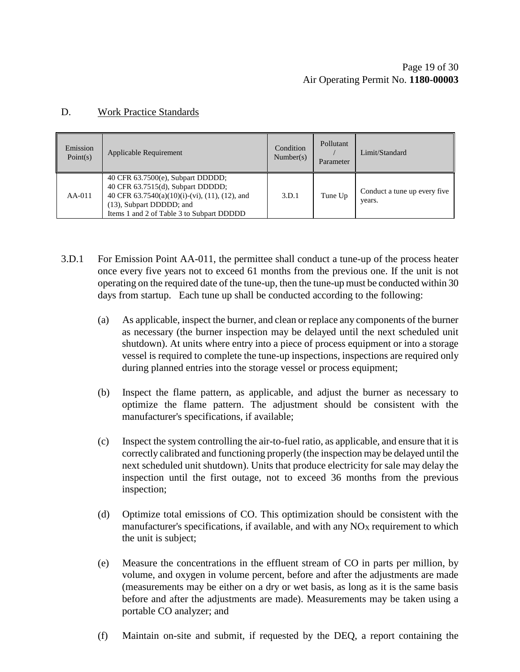### D. Work Practice Standards

| Emission<br>Point(s) | Applicable Requirement                                                                                                                                                                               | Condition<br>Number(s) | Pollutant<br>Parameter | Limit/Standard                         |
|----------------------|------------------------------------------------------------------------------------------------------------------------------------------------------------------------------------------------------|------------------------|------------------------|----------------------------------------|
| $AA-011$             | 40 CFR $63.7500(e)$ , Subpart DDDDD;<br>40 CFR 63.7515(d), Subpart DDDDD;<br>40 CFR 63.7540(a)(10)(i)-(vi), (11), (12), and<br>(13), Subpart DDDDD; and<br>Items 1 and 2 of Table 3 to Subpart DDDDD | 3.D.1                  | Tune Up                | Conduct a tune up every five<br>years. |

- 3.D.1 For Emission Point AA-011, the permittee shall conduct a tune-up of the process heater once every five years not to exceed 61 months from the previous one. If the unit is not operating on the required date of the tune-up, then the tune-up must be conducted within 30 days from startup. Each tune up shall be conducted according to the following:
	- (a) As applicable, inspect the burner, and clean or replace any components of the burner as necessary (the burner inspection may be delayed until the next scheduled unit shutdown). At units where entry into a piece of process equipment or into a storage vessel is required to complete the tune-up inspections, inspections are required only during planned entries into the storage vessel or process equipment;
	- (b) Inspect the flame pattern, as applicable, and adjust the burner as necessary to optimize the flame pattern. The adjustment should be consistent with the manufacturer's specifications, if available;
	- (c) Inspect the system controlling the air-to-fuel ratio, as applicable, and ensure that it is correctly calibrated and functioning properly (the inspection may be delayed until the next scheduled unit shutdown). Units that produce electricity for sale may delay the inspection until the first outage, not to exceed 36 months from the previous inspection;
	- (d) Optimize total emissions of CO. This optimization should be consistent with the manufacturer's specifications, if available, and with any  $NO<sub>X</sub>$  requirement to which the unit is subject;
	- (e) Measure the concentrations in the effluent stream of CO in parts per million, by volume, and oxygen in volume percent, before and after the adjustments are made (measurements may be either on a dry or wet basis, as long as it is the same basis before and after the adjustments are made). Measurements may be taken using a portable CO analyzer; and
	- (f) Maintain on-site and submit, if requested by the DEQ, a report containing the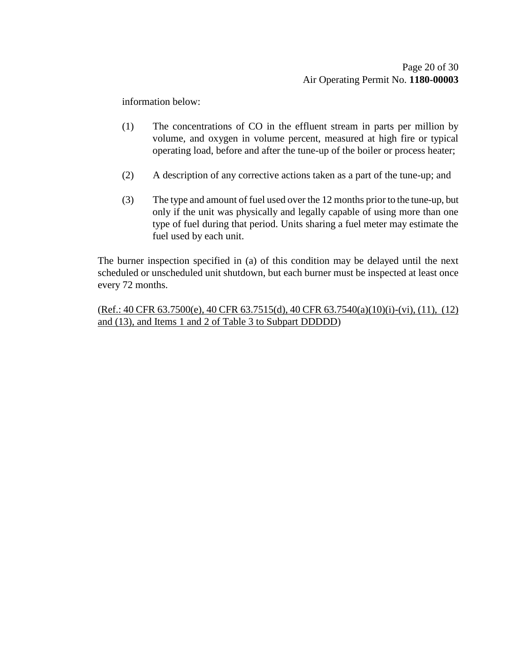information below:

- (1) The concentrations of CO in the effluent stream in parts per million by volume, and oxygen in volume percent, measured at high fire or typical operating load, before and after the tune-up of the boiler or process heater;
- (2) A description of any corrective actions taken as a part of the tune-up; and
- (3) The type and amount of fuel used over the 12 months prior to the tune-up, but only if the unit was physically and legally capable of using more than one type of fuel during that period. Units sharing a fuel meter may estimate the fuel used by each unit.

The burner inspection specified in (a) of this condition may be delayed until the next scheduled or unscheduled unit shutdown, but each burner must be inspected at least once every 72 months.

(Ref.: 40 CFR 63.7500(e), 40 CFR 63.7515(d), 40 CFR 63.7540(a)(10)(i)-(vi), (11), (12) and (13), and Items 1 and 2 of Table 3 to Subpart DDDDD)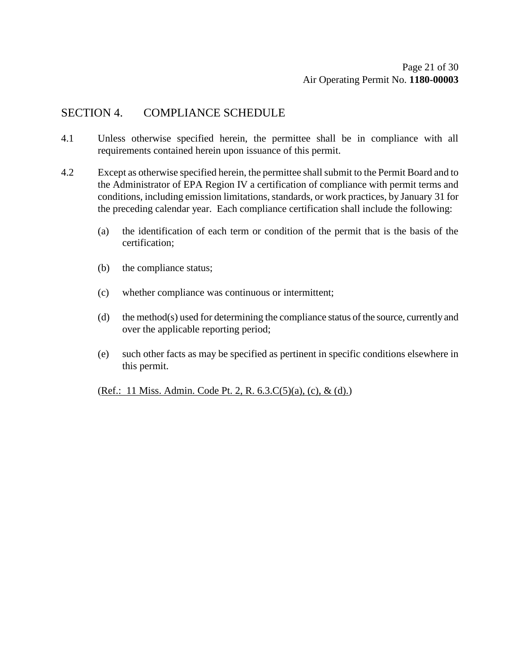## SECTION 4. COMPLIANCE SCHEDULE

- 4.1 Unless otherwise specified herein, the permittee shall be in compliance with all requirements contained herein upon issuance of this permit.
- 4.2 Except as otherwise specified herein, the permittee shall submit to the Permit Board and to the Administrator of EPA Region IV a certification of compliance with permit terms and conditions, including emission limitations, standards, or work practices, by January 31 for the preceding calendar year. Each compliance certification shall include the following:
	- (a) the identification of each term or condition of the permit that is the basis of the certification;
	- (b) the compliance status;
	- (c) whether compliance was continuous or intermittent;
	- (d) the method(s) used for determining the compliance status of the source, currently and over the applicable reporting period;
	- (e) such other facts as may be specified as pertinent in specific conditions elsewhere in this permit.

(Ref.: 11 Miss. Admin. Code Pt. 2, R. 6.3.C(5)(a), (c), & (d).)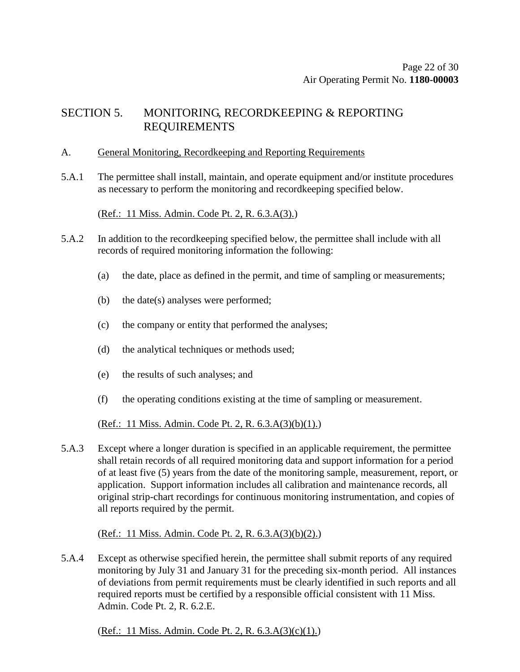## SECTION 5. MONITORING, RECORDKEEPING & REPORTING REQUIREMENTS

- A. General Monitoring, Recordkeeping and Reporting Requirements
- 5.A.1 The permittee shall install, maintain, and operate equipment and/or institute procedures as necessary to perform the monitoring and recordkeeping specified below.

(Ref.: 11 Miss. Admin. Code Pt. 2, R. 6.3.A(3).)

- 5.A.2 In addition to the recordkeeping specified below, the permittee shall include with all records of required monitoring information the following:
	- (a) the date, place as defined in the permit, and time of sampling or measurements;
	- (b) the date(s) analyses were performed;
	- (c) the company or entity that performed the analyses;
	- (d) the analytical techniques or methods used;
	- (e) the results of such analyses; and
	- (f) the operating conditions existing at the time of sampling or measurement.

(Ref.: 11 Miss. Admin. Code Pt. 2, R. 6.3.A(3)(b)(1).)

5.A.3 Except where a longer duration is specified in an applicable requirement, the permittee shall retain records of all required monitoring data and support information for a period of at least five (5) years from the date of the monitoring sample, measurement, report, or application. Support information includes all calibration and maintenance records, all original strip-chart recordings for continuous monitoring instrumentation, and copies of all reports required by the permit.

#### (Ref.: 11 Miss. Admin. Code Pt. 2, R. 6.3.A(3)(b)(2).)

5.A.4 Except as otherwise specified herein, the permittee shall submit reports of any required monitoring by July 31 and January 31 for the preceding six-month period. All instances of deviations from permit requirements must be clearly identified in such reports and all required reports must be certified by a responsible official consistent with 11 Miss. Admin. Code Pt. 2, R. 6.2.E.

(Ref.: 11 Miss. Admin. Code Pt. 2, R. 6.3.A(3)(c)(1).)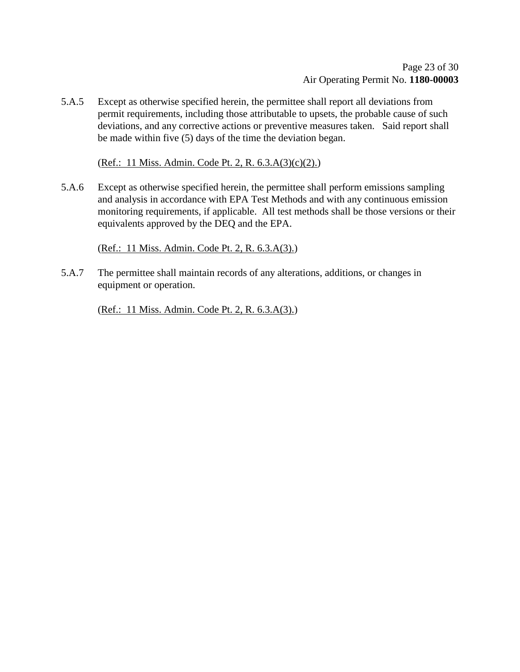5.A.5 Except as otherwise specified herein, the permittee shall report all deviations from permit requirements, including those attributable to upsets, the probable cause of such deviations, and any corrective actions or preventive measures taken. Said report shall be made within five (5) days of the time the deviation began.

(Ref.: 11 Miss. Admin. Code Pt. 2, R. 6.3.A(3)(c)(2).)

5.A.6 Except as otherwise specified herein, the permittee shall perform emissions sampling and analysis in accordance with EPA Test Methods and with any continuous emission monitoring requirements, if applicable. All test methods shall be those versions or their equivalents approved by the DEQ and the EPA.

(Ref.: 11 Miss. Admin. Code Pt. 2, R. 6.3.A(3).)

5.A.7 The permittee shall maintain records of any alterations, additions, or changes in equipment or operation.

(Ref.: 11 Miss. Admin. Code Pt. 2, R. 6.3.A(3).)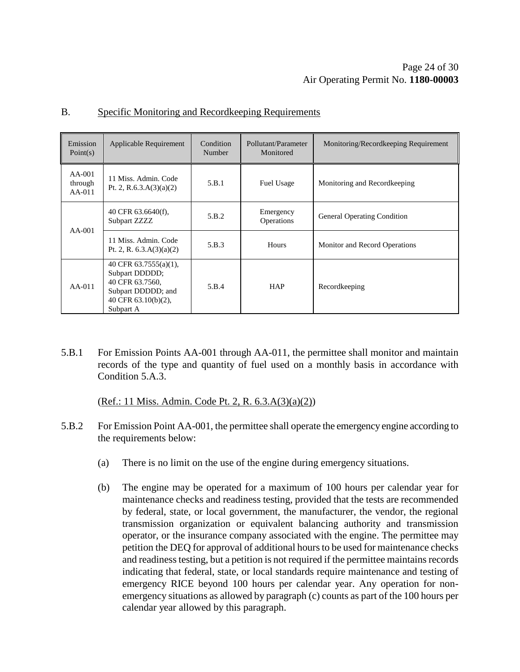| Emission<br>Point(s)            | Applicable Requirement                                                                                                     | Condition<br>Number | Pollutant/Parameter<br>Monitored | Monitoring/Recordkeeping Requirement |
|---------------------------------|----------------------------------------------------------------------------------------------------------------------------|---------------------|----------------------------------|--------------------------------------|
| $AA-001$<br>through<br>$AA-011$ | 11 Miss. Admin. Code<br>Pt. 2, R.6.3.A $(3)(a)(2)$                                                                         | 5.B.1               | <b>Fuel Usage</b>                | Monitoring and Recordkeeping         |
| $AA-001$                        | 40 CFR 63.6640(f),<br>Subpart ZZZZ                                                                                         | 5.B.2               | Emergency<br><b>Operations</b>   | General Operating Condition          |
|                                 | 11 Miss. Admin. Code<br>Pt. 2, R. $6.3.A(3)(a)(2)$                                                                         | 5.B.3               | <b>Hours</b>                     | <b>Monitor and Record Operations</b> |
| $AA-011$                        | 40 CFR $63.7555(a)(1)$ ,<br>Subpart DDDDD;<br>40 CFR 63.7560,<br>Subpart DDDDD; and<br>40 CFR $63.10(b)(2)$ ,<br>Subpart A | 5.B.4               | <b>HAP</b>                       | Recordkeeping                        |

## B. Specific Monitoring and Recordkeeping Requirements

5.B.1 For Emission Points AA-001 through AA-011, the permittee shall monitor and maintain records of the type and quantity of fuel used on a monthly basis in accordance with Condition 5.A.3.

(Ref.: 11 Miss. Admin. Code Pt. 2, R. 6.3.A(3)(a)(2))

- 5.B.2 For Emission Point AA-001, the permittee shall operate the emergency engine according to the requirements below:
	- (a) There is no limit on the use of the engine during emergency situations.
	- (b) The engine may be operated for a maximum of 100 hours per calendar year for maintenance checks and readiness testing, provided that the tests are recommended by federal, state, or local government, the manufacturer, the vendor, the regional transmission organization or equivalent balancing authority and transmission operator, or the insurance company associated with the engine. The permittee may petition the DEQ for approval of additional hours to be used for maintenance checks and readiness testing, but a petition is not required if the permittee maintains records indicating that federal, state, or local standards require maintenance and testing of emergency RICE beyond 100 hours per calendar year. Any operation for nonemergency situations as allowed by paragraph (c) counts as part of the 100 hours per calendar year allowed by this paragraph.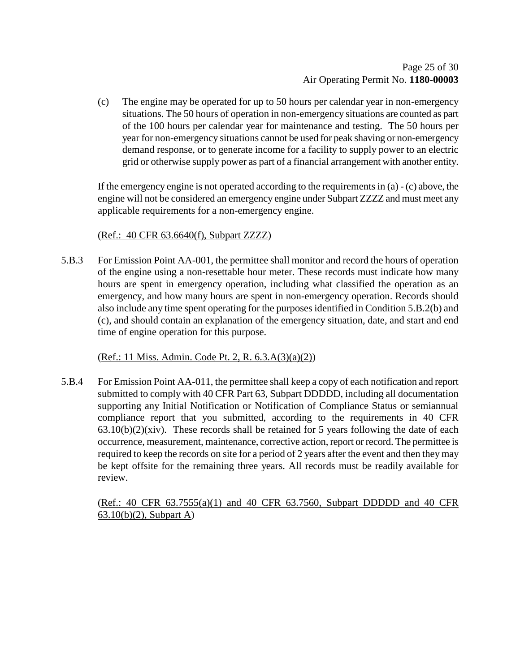(c) The engine may be operated for up to 50 hours per calendar year in non-emergency situations. The 50 hours of operation in non-emergency situations are counted as part of the 100 hours per calendar year for maintenance and testing. The 50 hours per year for non-emergency situations cannot be used for peak shaving or non-emergency demand response, or to generate income for a facility to supply power to an electric grid or otherwise supply power as part of a financial arrangement with another entity.

If the emergency engine is not operated according to the requirements in (a) - (c) above, the engine will not be considered an emergency engine under Subpart ZZZZ and must meet any applicable requirements for a non-emergency engine.

## (Ref.: 40 CFR 63.6640(f), Subpart ZZZZ)

5.B.3 For Emission Point AA-001, the permittee shall monitor and record the hours of operation of the engine using a non-resettable hour meter. These records must indicate how many hours are spent in emergency operation, including what classified the operation as an emergency, and how many hours are spent in non-emergency operation. Records should also include any time spent operating for the purposes identified in Condition 5.B.2(b) and (c), and should contain an explanation of the emergency situation, date, and start and end time of engine operation for this purpose.

(Ref.: 11 Miss. Admin. Code Pt. 2, R. 6.3.A(3)(a)(2))

5.B.4 For Emission Point AA-011, the permittee shall keep a copy of each notification and report submitted to comply with 40 CFR Part 63, Subpart DDDDD, including all documentation supporting any Initial Notification or Notification of Compliance Status or semiannual compliance report that you submitted, according to the requirements in 40 CFR  $63.10(b)(2)(xiv)$ . These records shall be retained for 5 years following the date of each occurrence, measurement, maintenance, corrective action, report or record. The permittee is required to keep the records on site for a period of 2 years after the event and then they may be kept offsite for the remaining three years. All records must be readily available for review.

(Ref.: 40 CFR 63.7555(a)(1) and 40 CFR 63.7560, Subpart DDDDD and 40 CFR 63.10(b)(2), Subpart A)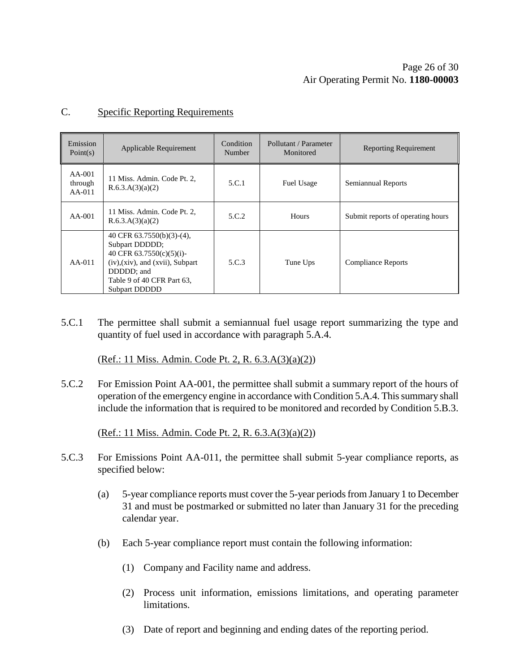## Page 26 of [30](#page-29-0) Air Operating Permit No. **1180-00003**

#### C. Specific Reporting Requirements

| Emission<br>Point(s)            | Applicable Requirement                                                                                                                                                                      | Condition<br>Number | Pollutant / Parameter<br>Monitored | <b>Reporting Requirement</b>      |
|---------------------------------|---------------------------------------------------------------------------------------------------------------------------------------------------------------------------------------------|---------------------|------------------------------------|-----------------------------------|
| $AA-001$<br>through<br>$AA-011$ | 11 Miss. Admin. Code Pt. 2,<br>R.6.3.A(3)(a)(2)                                                                                                                                             | 5.C.1               | Fuel Usage                         | Semiannual Reports                |
| $AA-001$                        | 11 Miss. Admin. Code Pt. 2,<br>R.6.3.A(3)(a)(2)                                                                                                                                             | 5.C.2               | Hours                              | Submit reports of operating hours |
| $AA-011$                        | 40 CFR $63.7550(b)(3)-(4)$ ,<br>Subpart DDDDD;<br>40 CFR 63.7550(c)(5)(i)-<br>$(iv)$ , $(xiv)$ , and $(xvii)$ , Subpart<br>DDDDD; and<br>Table 9 of 40 CFR Part 63,<br><b>Subpart DDDDD</b> | 5.C.3               | Tune Ups                           | <b>Compliance Reports</b>         |

5.C.1 The permittee shall submit a semiannual fuel usage report summarizing the type and quantity of fuel used in accordance with paragraph 5.A.4.

(Ref.: 11 Miss. Admin. Code Pt. 2, R. 6.3.A(3)(a)(2))

5.C.2 For Emission Point AA-001, the permittee shall submit a summary report of the hours of operation of the emergency engine in accordance with Condition 5.A.4. This summary shall include the information that is required to be monitored and recorded by Condition 5.B.3.

(Ref.: 11 Miss. Admin. Code Pt. 2, R. 6.3.A(3)(a)(2))

- 5.C.3 For Emissions Point AA-011, the permittee shall submit 5-year compliance reports, as specified below:
	- (a) 5-year compliance reports must cover the 5-year periods from January 1 to December 31 and must be postmarked or submitted no later than January 31 for the preceding calendar year.
	- (b) Each 5-year compliance report must contain the following information:
		- (1) Company and Facility name and address.
		- (2) Process unit information, emissions limitations, and operating parameter limitations.
		- (3) Date of report and beginning and ending dates of the reporting period.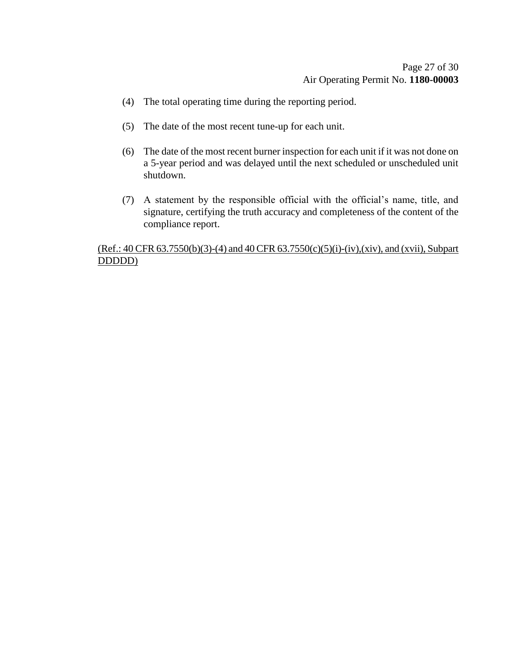- (4) The total operating time during the reporting period.
- (5) The date of the most recent tune-up for each unit.
- (6) The date of the most recent burner inspection for each unit if it was not done on a 5-year period and was delayed until the next scheduled or unscheduled unit shutdown.
- (7) A statement by the responsible official with the official's name, title, and signature, certifying the truth accuracy and completeness of the content of the compliance report.

### (Ref.: 40 CFR 63.7550(b)(3)-(4) and 40 CFR 63.7550(c)(5)(i)-(iv),(xiv), and (xvii), Subpart DDDDD)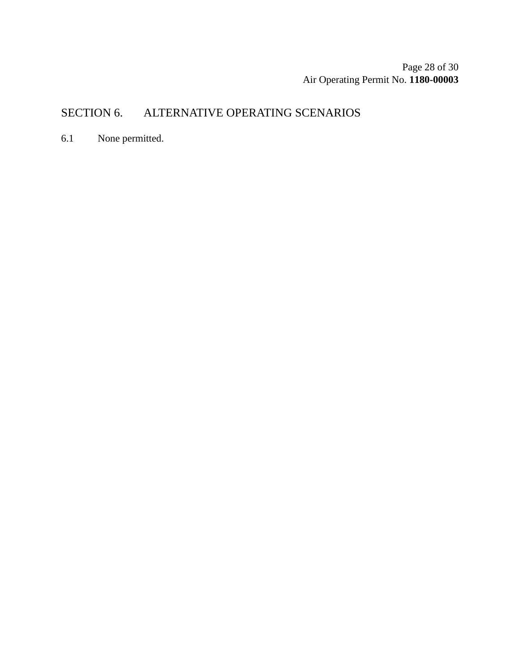Page 28 of [30](#page-29-0) Air Operating Permit No. **1180-00003**

## SECTION 6. ALTERNATIVE OPERATING SCENARIOS

6.1 None permitted.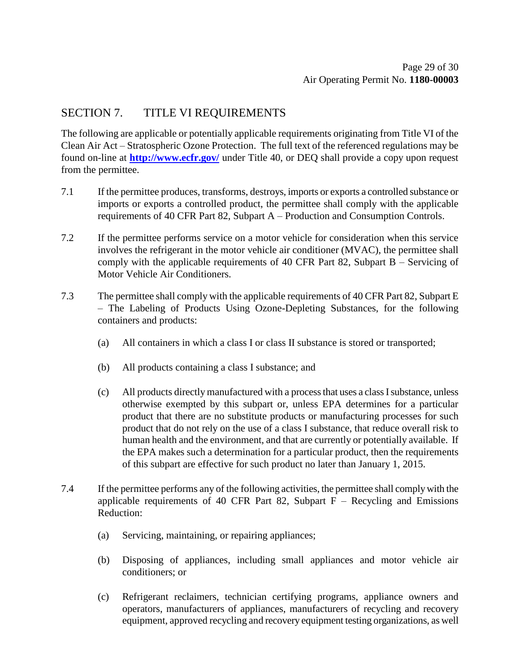## SECTION 7. TITLE VI REQUIREMENTS

The following are applicable or potentially applicable requirements originating from Title VI of the Clean Air Act – Stratospheric Ozone Protection. The full text of the referenced regulations may be found on-line at **<http://www.ecfr.gov/>** under Title 40, or DEQ shall provide a copy upon request from the permittee.

- 7.1 If the permittee produces, transforms, destroys, imports or exports a controlled substance or imports or exports a controlled product, the permittee shall comply with the applicable requirements of 40 CFR Part 82, Subpart A – Production and Consumption Controls.
- 7.2 If the permittee performs service on a motor vehicle for consideration when this service involves the refrigerant in the motor vehicle air conditioner (MVAC), the permittee shall comply with the applicable requirements of 40 CFR Part 82, Subpart B – Servicing of Motor Vehicle Air Conditioners.
- 7.3 The permittee shall comply with the applicable requirements of 40 CFR Part 82, Subpart E – The Labeling of Products Using Ozone-Depleting Substances, for the following containers and products:
	- (a) All containers in which a class I or class II substance is stored or transported;
	- (b) All products containing a class I substance; and
	- (c) All products directly manufactured with a process that uses a class I substance, unless otherwise exempted by this subpart or, unless EPA determines for a particular product that there are no substitute products or manufacturing processes for such product that do not rely on the use of a class I substance, that reduce overall risk to human health and the environment, and that are currently or potentially available. If the EPA makes such a determination for a particular product, then the requirements of this subpart are effective for such product no later than January 1, 2015.
- 7.4 If the permittee performs any of the following activities, the permittee shall comply with the applicable requirements of 40 CFR Part 82, Subpart  $F -$  Recycling and Emissions Reduction:
	- (a) Servicing, maintaining, or repairing appliances;
	- (b) Disposing of appliances, including small appliances and motor vehicle air conditioners; or
	- (c) Refrigerant reclaimers, technician certifying programs, appliance owners and operators, manufacturers of appliances, manufacturers of recycling and recovery equipment, approved recycling and recovery equipment testing organizations, as well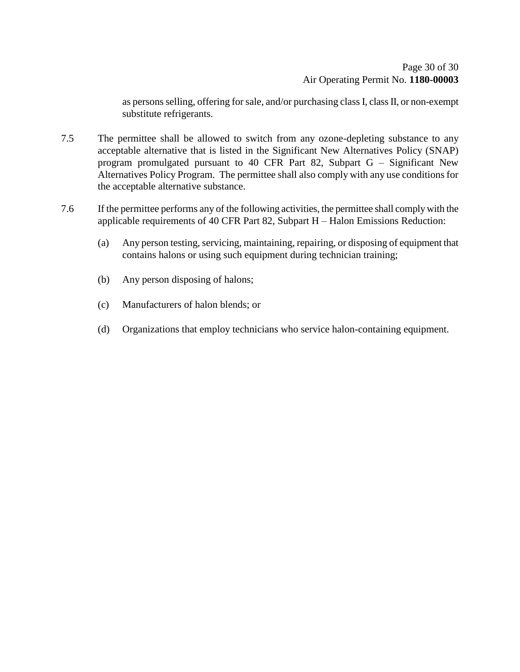as persons selling, offering for sale, and/or purchasing class I, class II, or non-exempt substitute refrigerants.

- 7.5 The permittee shall be allowed to switch from any ozone-depleting substance to any acceptable alternative that is listed in the Significant New Alternatives Policy (SNAP) program promulgated pursuant to 40 CFR Part 82, Subpart G – Significant New Alternatives Policy Program. The permittee shall also comply with any use conditions for the acceptable alternative substance.
- <span id="page-29-0"></span>7.6 If the permittee performs any of the following activities, the permittee shall comply with the applicable requirements of 40 CFR Part 82, Subpart H – Halon Emissions Reduction:
	- (a) Any person testing, servicing, maintaining, repairing, or disposing of equipment that contains halons or using such equipment during technician training;
	- (b) Any person disposing of halons;
	- (c) Manufacturers of halon blends; or
	- (d) Organizations that employ technicians who service halon-containing equipment.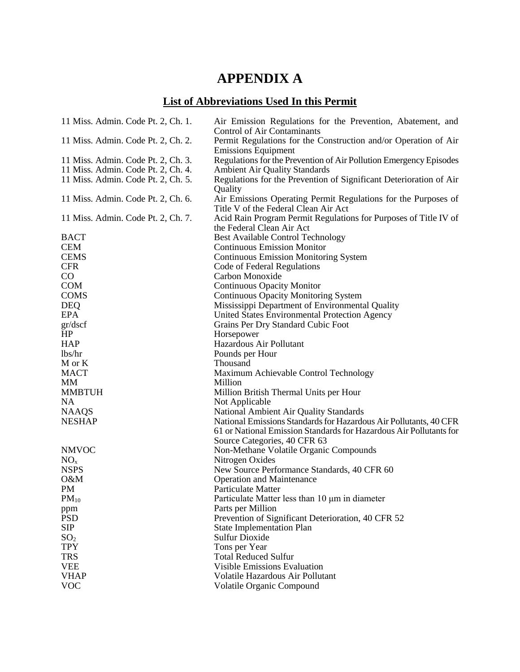## **APPENDIX A**

## **List of Abbreviations Used In this Permit**

| 11 Miss. Admin. Code Pt. 2, Ch. 1. | Air Emission Regulations for the Prevention, Abatement, and<br><b>Control of Air Contaminants</b>      |
|------------------------------------|--------------------------------------------------------------------------------------------------------|
| 11 Miss. Admin. Code Pt. 2, Ch. 2. | Permit Regulations for the Construction and/or Operation of Air<br><b>Emissions Equipment</b>          |
| 11 Miss. Admin. Code Pt. 2, Ch. 3. | Regulations for the Prevention of Air Pollution Emergency Episodes                                     |
| 11 Miss. Admin. Code Pt. 2, Ch. 4. | Ambient Air Quality Standards                                                                          |
| 11 Miss. Admin. Code Pt. 2, Ch. 5. | Regulations for the Prevention of Significant Deterioration of Air<br>Quality                          |
| 11 Miss. Admin. Code Pt. 2, Ch. 6. | Air Emissions Operating Permit Regulations for the Purposes of<br>Title V of the Federal Clean Air Act |
| 11 Miss. Admin. Code Pt. 2, Ch. 7. | Acid Rain Program Permit Regulations for Purposes of Title IV of<br>the Federal Clean Air Act          |
| <b>BACT</b>                        | <b>Best Available Control Technology</b>                                                               |
| <b>CEM</b>                         | <b>Continuous Emission Monitor</b>                                                                     |
| <b>CEMS</b>                        | <b>Continuous Emission Monitoring System</b>                                                           |
| <b>CFR</b>                         | Code of Federal Regulations                                                                            |
| CO                                 | Carbon Monoxide                                                                                        |
| <b>COM</b>                         | <b>Continuous Opacity Monitor</b>                                                                      |
| <b>COMS</b>                        | <b>Continuous Opacity Monitoring System</b>                                                            |
| <b>DEQ</b>                         | Mississippi Department of Environmental Quality                                                        |
| <b>EPA</b>                         | United States Environmental Protection Agency                                                          |
| gr/dscf                            | Grains Per Dry Standard Cubic Foot                                                                     |
| HP                                 | Horsepower                                                                                             |
| <b>HAP</b>                         | Hazardous Air Pollutant                                                                                |
| lbs/hr                             | Pounds per Hour                                                                                        |
| M or K                             | Thousand                                                                                               |
| <b>MACT</b>                        | Maximum Achievable Control Technology                                                                  |
| MM                                 | Million                                                                                                |
| <b>MMBTUH</b>                      | Million British Thermal Units per Hour                                                                 |
| <b>NA</b>                          | Not Applicable                                                                                         |
| <b>NAAQS</b>                       | National Ambient Air Quality Standards                                                                 |
| <b>NESHAP</b>                      | National Emissions Standards for Hazardous Air Pollutants, 40 CFR                                      |
|                                    | 61 or National Emission Standards for Hazardous Air Pollutants for<br>Source Categories, 40 CFR 63     |
| <b>NMVOC</b>                       | Non-Methane Volatile Organic Compounds                                                                 |
| NO <sub>x</sub>                    | Nitrogen Oxides                                                                                        |
| <b>NSPS</b>                        | New Source Performance Standards, 40 CFR 60                                                            |
| O&M                                | <b>Operation and Maintenance</b>                                                                       |
| <b>PM</b>                          | Particulate Matter                                                                                     |
| $PM_{10}$                          | Particulate Matter less than 10 µm in diameter                                                         |
| ppm                                | Parts per Million                                                                                      |
| <b>PSD</b>                         | Prevention of Significant Deterioration, 40 CFR 52                                                     |
| SIP                                | <b>State Implementation Plan</b>                                                                       |
| SO <sub>2</sub>                    | <b>Sulfur Dioxide</b>                                                                                  |
| <b>TPY</b>                         | Tons per Year                                                                                          |
| <b>TRS</b>                         | <b>Total Reduced Sulfur</b>                                                                            |
| <b>VEE</b>                         | <b>Visible Emissions Evaluation</b>                                                                    |
| <b>VHAP</b>                        | Volatile Hazardous Air Pollutant                                                                       |
| <b>VOC</b>                         | Volatile Organic Compound                                                                              |